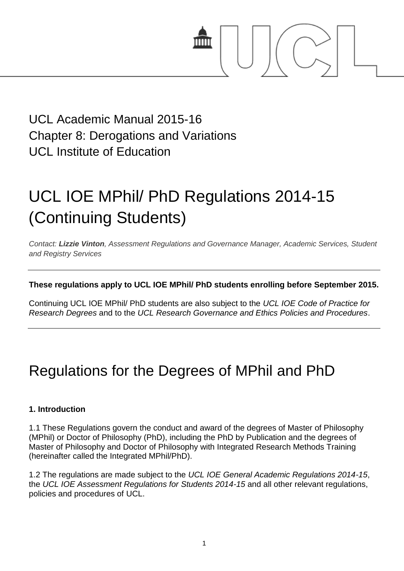

### UCL Academic Manual 2015-16 Chapter 8: Derogations and Variations UCL Institute of Education

# UCL IOE MPhil/ PhD Regulations 2014-15 (Continuing Students)

*Contact: [Lizzie Vinton](mailto:s.hinton@ucl.ac.uk), Assessment Regulations and Governance Manager, Academic Services, Student and Registry Services*

#### **These regulations apply to UCL IOE MPhil/ PhD students enrolling before September 2015.**

Continuing UCL IOE MPhil/ PhD students are also subject to the *UCL IOE Code of Practice for Research Degrees* and to the *UCL Research Governance and Ethics Policies and Procedures*.

## Regulations for the Degrees of MPhil and PhD

#### **1. Introduction**

1.1 These Regulations govern the conduct and award of the degrees of Master of Philosophy (MPhil) or Doctor of Philosophy (PhD), including the PhD by Publication and the degrees of Master of Philosophy and Doctor of Philosophy with Integrated Research Methods Training (hereinafter called the Integrated MPhil/PhD).

1.2 The regulations are made subject to the *UCL IOE General Academic Regulations 2014-15*, the *UCL IOE Assessment Regulations for Students 2014-15* and all other relevant regulations, policies and procedures of UCL.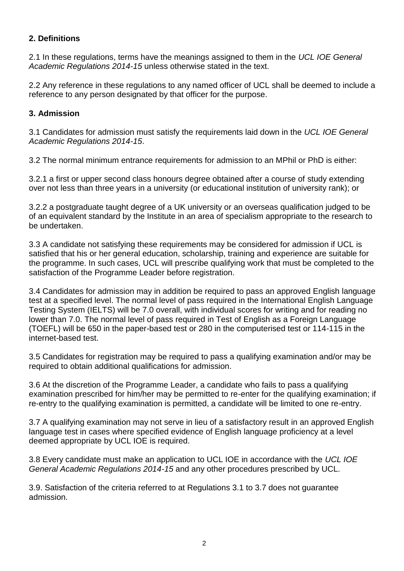#### **2. Definitions**

2.1 In these regulations, terms have the meanings assigned to them in the *UCL IOE General Academic Regulations 2014-15* unless otherwise stated in the text.

2.2 Any reference in these regulations to any named officer of UCL shall be deemed to include a reference to any person designated by that officer for the purpose.

#### **3. Admission**

3.1 Candidates for admission must satisfy the requirements laid down in the *UCL IOE General Academic Regulations 2014-15*.

3.2 The normal minimum entrance requirements for admission to an MPhil or PhD is either:

3.2.1 a first or upper second class honours degree obtained after a course of study extending over not less than three years in a university (or educational institution of university rank); or

3.2.2 a postgraduate taught degree of a UK university or an overseas qualification judged to be of an equivalent standard by the Institute in an area of specialism appropriate to the research to be undertaken.

3.3 A candidate not satisfying these requirements may be considered for admission if UCL is satisfied that his or her general education, scholarship, training and experience are suitable for the programme. In such cases, UCL will prescribe qualifying work that must be completed to the satisfaction of the Programme Leader before registration.

3.4 Candidates for admission may in addition be required to pass an approved English language test at a specified level. The normal level of pass required in the International English Language Testing System (IELTS) will be 7.0 overall, with individual scores for writing and for reading no lower than 7.0. The normal level of pass required in Test of English as a Foreign Language (TOEFL) will be 650 in the paper-based test or 280 in the computerised test or 114-115 in the internet-based test.

3.5 Candidates for registration may be required to pass a qualifying examination and/or may be required to obtain additional qualifications for admission.

3.6 At the discretion of the Programme Leader, a candidate who fails to pass a qualifying examination prescribed for him/her may be permitted to re-enter for the qualifying examination; if re-entry to the qualifying examination is permitted, a candidate will be limited to one re-entry.

3.7 A qualifying examination may not serve in lieu of a satisfactory result in an approved English language test in cases where specified evidence of English language proficiency at a level deemed appropriate by UCL IOE is required.

3.8 Every candidate must make an application to UCL IOE in accordance with the *UCL IOE General Academic Regulations 2014-15* and any other procedures prescribed by UCL.

3.9. Satisfaction of the criteria referred to at Regulations 3.1 to 3.7 does not guarantee admission.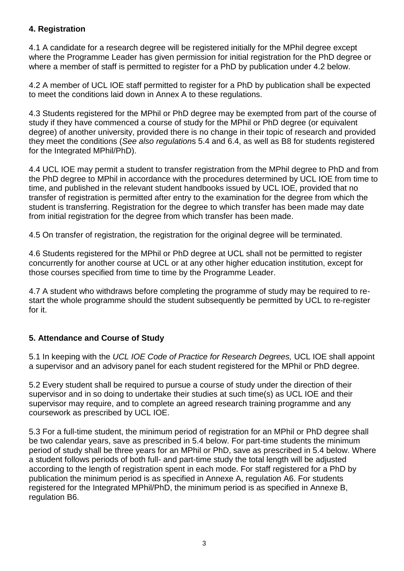#### **4. Registration**

4.1 A candidate for a research degree will be registered initially for the MPhil degree except where the Programme Leader has given permission for initial registration for the PhD degree or where a member of staff is permitted to register for a PhD by publication under 4.2 below.

4.2 A member of UCL IOE staff permitted to register for a PhD by publication shall be expected to meet the conditions laid down in Annex A to these regulations.

4.3 Students registered for the MPhil or PhD degree may be exempted from part of the course of study if they have commenced a course of study for the MPhil or PhD degree (or equivalent degree) of another university, provided there is no change in their topic of research and provided they meet the conditions (*See also regulation*s 5.4 and 6.4, as well as B8 for students registered for the Integrated MPhil/PhD).

4.4 UCL IOE may permit a student to transfer registration from the MPhil degree to PhD and from the PhD degree to MPhil in accordance with the procedures determined by UCL IOE from time to time, and published in the relevant student handbooks issued by UCL IOE, provided that no transfer of registration is permitted after entry to the examination for the degree from which the student is transferring. Registration for the degree to which transfer has been made may date from initial registration for the degree from which transfer has been made.

4.5 On transfer of registration, the registration for the original degree will be terminated.

4.6 Students registered for the MPhil or PhD degree at UCL shall not be permitted to register concurrently for another course at UCL or at any other higher education institution, except for those courses specified from time to time by the Programme Leader.

4.7 A student who withdraws before completing the programme of study may be required to restart the whole programme should the student subsequently be permitted by UCL to re-register for it.

#### **5. Attendance and Course of Study**

5.1 In keeping with the *UCL IOE Code of Practice for Research Degrees,* UCL IOE shall appoint a supervisor and an advisory panel for each student registered for the MPhil or PhD degree.

5.2 Every student shall be required to pursue a course of study under the direction of their supervisor and in so doing to undertake their studies at such time(s) as UCL IOE and their supervisor may require, and to complete an agreed research training programme and any coursework as prescribed by UCL IOE.

5.3 For a full-time student, the minimum period of registration for an MPhil or PhD degree shall be two calendar years, save as prescribed in 5.4 below. For part-time students the minimum period of study shall be three years for an MPhil or PhD, save as prescribed in 5.4 below. Where a student follows periods of both full- and part-time study the total length will be adjusted according to the length of registration spent in each mode. For staff registered for a PhD by publication the minimum period is as specified in Annexe A, regulation A6. For students registered for the Integrated MPhil/PhD, the minimum period is as specified in Annexe B, regulation B6.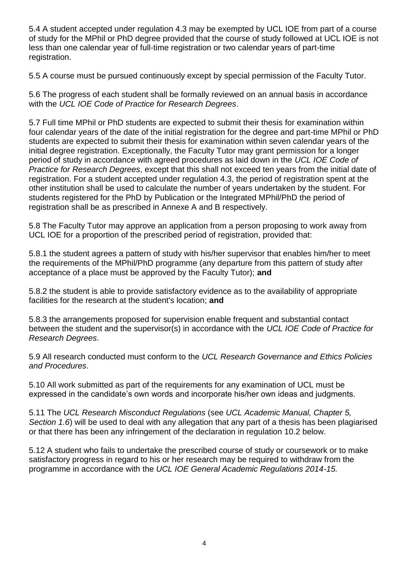5.4 A student accepted under regulation 4.3 may be exempted by UCL IOE from part of a course of study for the MPhil or PhD degree provided that the course of study followed at UCL IOE is not less than one calendar year of full-time registration or two calendar years of part-time registration.

5.5 A course must be pursued continuously except by special permission of the Faculty Tutor.

5.6 The progress of each student shall be formally reviewed on an annual basis in accordance with the *UCL IOE Code of Practice for Research Degrees*.

5.7 Full time MPhil or PhD students are expected to submit their thesis for examination within four calendar years of the date of the initial registration for the degree and part-time MPhil or PhD students are expected to submit their thesis for examination within seven calendar years of the initial degree registration. Exceptionally, the Faculty Tutor may grant permission for a longer period of study in accordance with agreed procedures as laid down in the *UCL IOE Code of Practice for Research Degrees*, except that this shall not exceed ten years from the initial date of registration. For a student accepted under regulation 4.3, the period of registration spent at the other institution shall be used to calculate the number of years undertaken by the student. For students registered for the PhD by Publication or the Integrated MPhil/PhD the period of registration shall be as prescribed in Annexe A and B respectively.

5.8 The Faculty Tutor may approve an application from a person proposing to work away from UCL IOE for a proportion of the prescribed period of registration, provided that:

5.8.1 the student agrees a pattern of study with his/her supervisor that enables him/her to meet the requirements of the MPhil/PhD programme (any departure from this pattern of study after acceptance of a place must be approved by the Faculty Tutor); **and** 

5.8.2 the student is able to provide satisfactory evidence as to the availability of appropriate facilities for the research at the student's location; **and** 

5.8.3 the arrangements proposed for supervision enable frequent and substantial contact between the student and the supervisor(s) in accordance with the *UCL IOE Code of Practice for Research Degrees*.

5.9 All research conducted must conform to the *UCL Research Governance and Ethics Policies and Procedures*.

5.10 All work submitted as part of the requirements for any examination of UCL must be expressed in the candidate's own words and incorporate his/her own ideas and judgments.

5.11 The *UCL Research Misconduct Regulations* (see *UCL Academic Manual, Chapter 5, Section 1.6*) will be used to deal with any allegation that any part of a thesis has been plagiarised or that there has been any infringement of the declaration in regulation 10.2 below.

5.12 A student who fails to undertake the prescribed course of study or coursework or to make satisfactory progress in regard to his or her research may be required to withdraw from the programme in accordance with the *UCL IOE General Academic Regulations 2014-15.*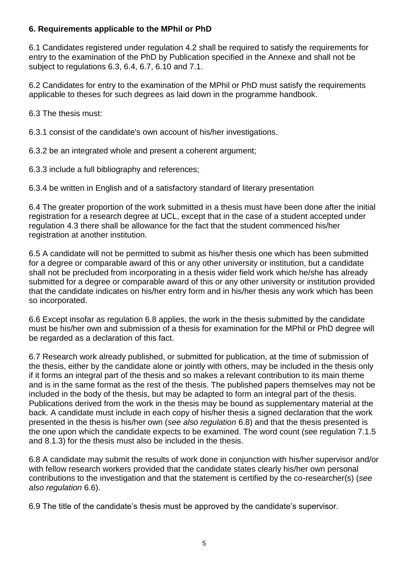#### **6. Requirements applicable to the MPhil or PhD**

6.1 Candidates registered under regulation 4.2 shall be required to satisfy the requirements for entry to the examination of the PhD by Publication specified in the Annexe and shall not be subject to regulations 6.3, 6.4, 6.7, 6.10 and 7.1.

6.2 Candidates for entry to the examination of the MPhil or PhD must satisfy the requirements applicable to theses for such degrees as laid down in the programme handbook.

6.3 The thesis must:

6.3.1 consist of the candidate's own account of his/her investigations.

6.3.2 be an integrated whole and present a coherent argument;

6.3.3 include a full bibliography and references;

6.3.4 be written in English and of a satisfactory standard of literary presentation

6.4 The greater proportion of the work submitted in a thesis must have been done after the initial registration for a research degree at UCL, except that in the case of a student accepted under regulation 4.3 there shall be allowance for the fact that the student commenced his/her registration at another institution.

6.5 A candidate will not be permitted to submit as his/her thesis one which has been submitted for a degree or comparable award of this or any other university or institution, but a candidate shall not be precluded from incorporating in a thesis wider field work which he/she has already submitted for a degree or comparable award of this or any other university or institution provided that the candidate indicates on his/her entry form and in his/her thesis any work which has been so incorporated.

6.6 Except insofar as regulation 6.8 applies, the work in the thesis submitted by the candidate must be his/her own and submission of a thesis for examination for the MPhil or PhD degree will be regarded as a declaration of this fact.

6.7 Research work already published, or submitted for publication, at the time of submission of the thesis, either by the candidate alone or jointly with others, may be included in the thesis only if it forms an integral part of the thesis and so makes a relevant contribution to its main theme and is in the same format as the rest of the thesis. The published papers themselves may not be included in the body of the thesis, but may be adapted to form an integral part of the thesis. Publications derived from the work in the thesis may be bound as supplementary material at the back. A candidate must include in each copy of his/her thesis a signed declaration that the work presented in the thesis is his/her own (*see also regulation* 6.8) and that the thesis presented is the one upon which the candidate expects to be examined. The word count (see regulation 7.1.5 and 8.1.3) for the thesis must also be included in the thesis.

6.8 A candidate may submit the results of work done in conjunction with his/her supervisor and/or with fellow research workers provided that the candidate states clearly his/her own personal contributions to the investigation and that the statement is certified by the co-researcher(s) (*see also regulation* 6.6).

6.9 The title of the candidate's thesis must be approved by the candidate's supervisor.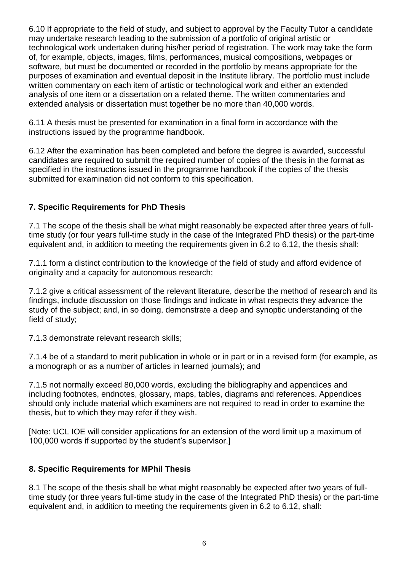6.10 If appropriate to the field of study, and subject to approval by the Faculty Tutor a candidate may undertake research leading to the submission of a portfolio of original artistic or technological work undertaken during his/her period of registration. The work may take the form of, for example, objects, images, films, performances, musical compositions, webpages or software, but must be documented or recorded in the portfolio by means appropriate for the purposes of examination and eventual deposit in the Institute library. The portfolio must include written commentary on each item of artistic or technological work and either an extended analysis of one item or a dissertation on a related theme. The written commentaries and extended analysis or dissertation must together be no more than 40,000 words.

6.11 A thesis must be presented for examination in a final form in accordance with the instructions issued by the programme handbook.

6.12 After the examination has been completed and before the degree is awarded, successful candidates are required to submit the required number of copies of the thesis in the format as specified in the instructions issued in the programme handbook if the copies of the thesis submitted for examination did not conform to this specification.

#### **7. Specific Requirements for PhD Thesis**

7.1 The scope of the thesis shall be what might reasonably be expected after three years of fulltime study (or four years full-time study in the case of the Integrated PhD thesis) or the part-time equivalent and, in addition to meeting the requirements given in 6.2 to 6.12, the thesis shall:

7.1.1 form a distinct contribution to the knowledge of the field of study and afford evidence of originality and a capacity for autonomous research;

7.1.2 give a critical assessment of the relevant literature, describe the method of research and its findings, include discussion on those findings and indicate in what respects they advance the study of the subject; and, in so doing, demonstrate a deep and synoptic understanding of the field of study;

7.1.3 demonstrate relevant research skills;

7.1.4 be of a standard to merit publication in whole or in part or in a revised form (for example, as a monograph or as a number of articles in learned journals); and

7.1.5 not normally exceed 80,000 words, excluding the bibliography and appendices and including footnotes, endnotes, glossary, maps, tables, diagrams and references. Appendices should only include material which examiners are not required to read in order to examine the thesis, but to which they may refer if they wish.

[Note: UCL IOE will consider applications for an extension of the word limit up a maximum of 100,000 words if supported by the student's supervisor.]

#### **8. Specific Requirements for MPhil Thesis**

8.1 The scope of the thesis shall be what might reasonably be expected after two years of fulltime study (or three years full-time study in the case of the Integrated PhD thesis) or the part-time equivalent and, in addition to meeting the requirements given in 6.2 to 6.12, shall: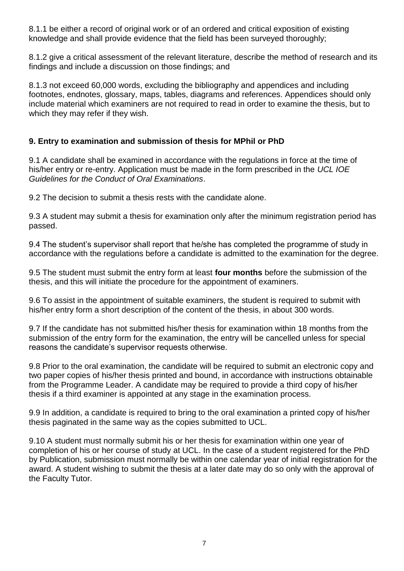8.1.1 be either a record of original work or of an ordered and critical exposition of existing knowledge and shall provide evidence that the field has been surveyed thoroughly;

8.1.2 give a critical assessment of the relevant literature, describe the method of research and its findings and include a discussion on those findings; and

8.1.3 not exceed 60,000 words, excluding the bibliography and appendices and including footnotes, endnotes, glossary, maps, tables, diagrams and references. Appendices should only include material which examiners are not required to read in order to examine the thesis, but to which they may refer if they wish.

#### **9. Entry to examination and submission of thesis for MPhil or PhD**

9.1 A candidate shall be examined in accordance with the regulations in force at the time of his/her entry or re-entry. Application must be made in the form prescribed in the *UCL IOE Guidelines for the Conduct of Oral Examinations*.

9.2 The decision to submit a thesis rests with the candidate alone.

9.3 A student may submit a thesis for examination only after the minimum registration period has passed.

9.4 The student's supervisor shall report that he/she has completed the programme of study in accordance with the regulations before a candidate is admitted to the examination for the degree.

9.5 The student must submit the entry form at least **four months** before the submission of the thesis, and this will initiate the procedure for the appointment of examiners.

9.6 To assist in the appointment of suitable examiners, the student is required to submit with his/her entry form a short description of the content of the thesis, in about 300 words.

9.7 If the candidate has not submitted his/her thesis for examination within 18 months from the submission of the entry form for the examination, the entry will be cancelled unless for special reasons the candidate's supervisor requests otherwise.

9.8 Prior to the oral examination, the candidate will be required to submit an electronic copy and two paper copies of his/her thesis printed and bound, in accordance with instructions obtainable from the Programme Leader. A candidate may be required to provide a third copy of his/her thesis if a third examiner is appointed at any stage in the examination process.

9.9 In addition, a candidate is required to bring to the oral examination a printed copy of his/her thesis paginated in the same way as the copies submitted to UCL.

9.10 A student must normally submit his or her thesis for examination within one year of completion of his or her course of study at UCL. In the case of a student registered for the PhD by Publication, submission must normally be within one calendar year of initial registration for the award. A student wishing to submit the thesis at a later date may do so only with the approval of the Faculty Tutor.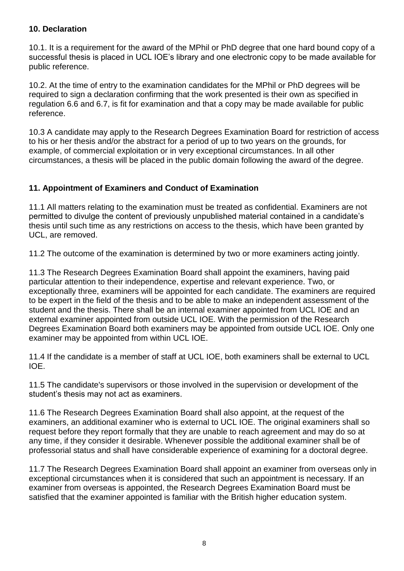#### **10. Declaration**

10.1. It is a requirement for the award of the MPhil or PhD degree that one hard bound copy of a successful thesis is placed in UCL IOE's library and one electronic copy to be made available for public reference.

10.2. At the time of entry to the examination candidates for the MPhil or PhD degrees will be required to sign a declaration confirming that the work presented is their own as specified in regulation 6.6 and 6.7, is fit for examination and that a copy may be made available for public reference.

10.3 A candidate may apply to the Research Degrees Examination Board for restriction of access to his or her thesis and/or the abstract for a period of up to two years on the grounds, for example, of commercial exploitation or in very exceptional circumstances. In all other circumstances, a thesis will be placed in the public domain following the award of the degree.

#### **11. Appointment of Examiners and Conduct of Examination**

11.1 All matters relating to the examination must be treated as confidential. Examiners are not permitted to divulge the content of previously unpublished material contained in a candidate's thesis until such time as any restrictions on access to the thesis, which have been granted by UCL, are removed.

11.2 The outcome of the examination is determined by two or more examiners acting jointly.

11.3 The Research Degrees Examination Board shall appoint the examiners, having paid particular attention to their independence, expertise and relevant experience. Two, or exceptionally three, examiners will be appointed for each candidate. The examiners are required to be expert in the field of the thesis and to be able to make an independent assessment of the student and the thesis. There shall be an internal examiner appointed from UCL IOE and an external examiner appointed from outside UCL IOE. With the permission of the Research Degrees Examination Board both examiners may be appointed from outside UCL IOE. Only one examiner may be appointed from within UCL IOE.

11.4 If the candidate is a member of staff at UCL IOE, both examiners shall be external to UCL IOE.

11.5 The candidate's supervisors or those involved in the supervision or development of the student's thesis may not act as examiners.

11.6 The Research Degrees Examination Board shall also appoint, at the request of the examiners, an additional examiner who is external to UCL IOE. The original examiners shall so request before they report formally that they are unable to reach agreement and may do so at any time, if they consider it desirable. Whenever possible the additional examiner shall be of professorial status and shall have considerable experience of examining for a doctoral degree.

11.7 The Research Degrees Examination Board shall appoint an examiner from overseas only in exceptional circumstances when it is considered that such an appointment is necessary. If an examiner from overseas is appointed, the Research Degrees Examination Board must be satisfied that the examiner appointed is familiar with the British higher education system.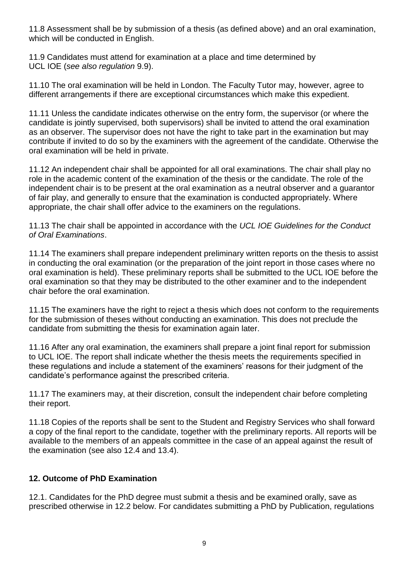11.8 Assessment shall be by submission of a thesis (as defined above) and an oral examination, which will be conducted in English.

11.9 Candidates must attend for examination at a place and time determined by UCL IOE (*see also regulation* 9.9).

11.10 The oral examination will be held in London. The Faculty Tutor may, however, agree to different arrangements if there are exceptional circumstances which make this expedient.

11.11 Unless the candidate indicates otherwise on the entry form, the supervisor (or where the candidate is jointly supervised, both supervisors) shall be invited to attend the oral examination as an observer. The supervisor does not have the right to take part in the examination but may contribute if invited to do so by the examiners with the agreement of the candidate. Otherwise the oral examination will be held in private.

11.12 An independent chair shall be appointed for all oral examinations. The chair shall play no role in the academic content of the examination of the thesis or the candidate. The role of the independent chair is to be present at the oral examination as a neutral observer and a guarantor of fair play, and generally to ensure that the examination is conducted appropriately. Where appropriate, the chair shall offer advice to the examiners on the regulations.

11.13 The chair shall be appointed in accordance with the *UCL IOE Guidelines for the Conduct of Oral Examinations*.

11.14 The examiners shall prepare independent preliminary written reports on the thesis to assist in conducting the oral examination (or the preparation of the joint report in those cases where no oral examination is held). These preliminary reports shall be submitted to the UCL IOE before the oral examination so that they may be distributed to the other examiner and to the independent chair before the oral examination.

11.15 The examiners have the right to reject a thesis which does not conform to the requirements for the submission of theses without conducting an examination. This does not preclude the candidate from submitting the thesis for examination again later.

11.16 After any oral examination, the examiners shall prepare a joint final report for submission to UCL IOE. The report shall indicate whether the thesis meets the requirements specified in these regulations and include a statement of the examiners' reasons for their judgment of the candidate's performance against the prescribed criteria.

11.17 The examiners may, at their discretion, consult the independent chair before completing their report.

11.18 Copies of the reports shall be sent to the Student and Registry Services who shall forward a copy of the final report to the candidate, together with the preliminary reports. All reports will be available to the members of an appeals committee in the case of an appeal against the result of the examination (see also 12.4 and 13.4).

#### **12. Outcome of PhD Examination**

12.1. Candidates for the PhD degree must submit a thesis and be examined orally, save as prescribed otherwise in 12.2 below. For candidates submitting a PhD by Publication, regulations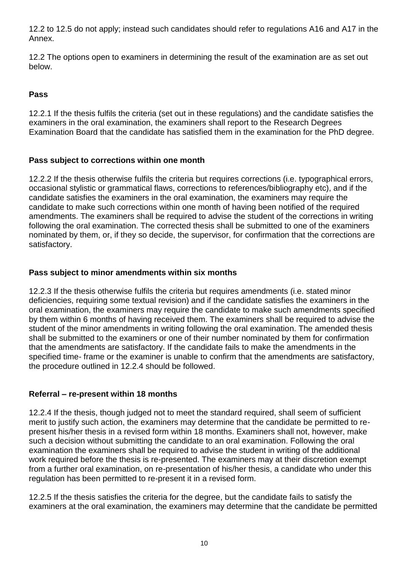12.2 to 12.5 do not apply; instead such candidates should refer to regulations A16 and A17 in the Annex.

12.2 The options open to examiners in determining the result of the examination are as set out below.

#### **Pass**

12.2.1 If the thesis fulfils the criteria (set out in these regulations) and the candidate satisfies the examiners in the oral examination, the examiners shall report to the Research Degrees Examination Board that the candidate has satisfied them in the examination for the PhD degree.

#### **Pass subject to corrections within one month**

12.2.2 If the thesis otherwise fulfils the criteria but requires corrections (i.e. typographical errors, occasional stylistic or grammatical flaws, corrections to references/bibliography etc), and if the candidate satisfies the examiners in the oral examination, the examiners may require the candidate to make such corrections within one month of having been notified of the required amendments. The examiners shall be required to advise the student of the corrections in writing following the oral examination. The corrected thesis shall be submitted to one of the examiners nominated by them, or, if they so decide, the supervisor, for confirmation that the corrections are satisfactory.

#### **Pass subject to minor amendments within six months**

12.2.3 If the thesis otherwise fulfils the criteria but requires amendments (i.e. stated minor deficiencies, requiring some textual revision) and if the candidate satisfies the examiners in the oral examination, the examiners may require the candidate to make such amendments specified by them within 6 months of having received them. The examiners shall be required to advise the student of the minor amendments in writing following the oral examination. The amended thesis shall be submitted to the examiners or one of their number nominated by them for confirmation that the amendments are satisfactory. If the candidate fails to make the amendments in the specified time- frame or the examiner is unable to confirm that the amendments are satisfactory, the procedure outlined in 12.2.4 should be followed.

#### **Referral – re-present within 18 months**

12.2.4 If the thesis, though judged not to meet the standard required, shall seem of sufficient merit to justify such action, the examiners may determine that the candidate be permitted to represent his/her thesis in a revised form within 18 months. Examiners shall not, however, make such a decision without submitting the candidate to an oral examination. Following the oral examination the examiners shall be required to advise the student in writing of the additional work required before the thesis is re-presented. The examiners may at their discretion exempt from a further oral examination, on re-presentation of his/her thesis, a candidate who under this regulation has been permitted to re-present it in a revised form.

12.2.5 If the thesis satisfies the criteria for the degree, but the candidate fails to satisfy the examiners at the oral examination, the examiners may determine that the candidate be permitted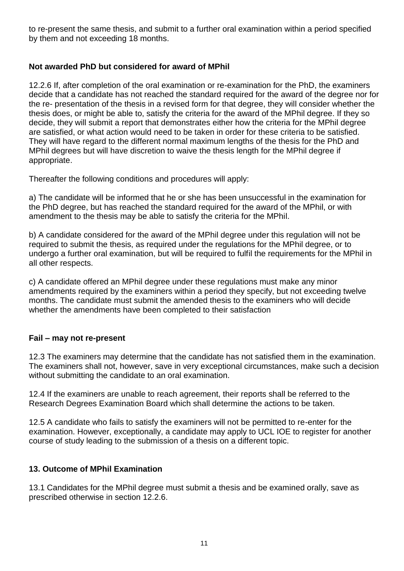to re-present the same thesis, and submit to a further oral examination within a period specified by them and not exceeding 18 months.

#### **Not awarded PhD but considered for award of MPhil**

12.2.6 If, after completion of the oral examination or re-examination for the PhD, the examiners decide that a candidate has not reached the standard required for the award of the degree nor for the re- presentation of the thesis in a revised form for that degree, they will consider whether the thesis does, or might be able to, satisfy the criteria for the award of the MPhil degree. If they so decide, they will submit a report that demonstrates either how the criteria for the MPhil degree are satisfied, or what action would need to be taken in order for these criteria to be satisfied. They will have regard to the different normal maximum lengths of the thesis for the PhD and MPhil degrees but will have discretion to waive the thesis length for the MPhil degree if appropriate.

Thereafter the following conditions and procedures will apply:

a) The candidate will be informed that he or she has been unsuccessful in the examination for the PhD degree, but has reached the standard required for the award of the MPhil, or with amendment to the thesis may be able to satisfy the criteria for the MPhil.

b) A candidate considered for the award of the MPhil degree under this regulation will not be required to submit the thesis, as required under the regulations for the MPhil degree, or to undergo a further oral examination, but will be required to fulfil the requirements for the MPhil in all other respects.

c) A candidate offered an MPhil degree under these regulations must make any minor amendments required by the examiners within a period they specify, but not exceeding twelve months. The candidate must submit the amended thesis to the examiners who will decide whether the amendments have been completed to their satisfaction

#### **Fail – may not re-present**

12.3 The examiners may determine that the candidate has not satisfied them in the examination. The examiners shall not, however, save in very exceptional circumstances, make such a decision without submitting the candidate to an oral examination.

12.4 If the examiners are unable to reach agreement, their reports shall be referred to the Research Degrees Examination Board which shall determine the actions to be taken.

12.5 A candidate who fails to satisfy the examiners will not be permitted to re-enter for the examination. However, exceptionally, a candidate may apply to UCL IOE to register for another course of study leading to the submission of a thesis on a different topic.

#### **13. Outcome of MPhil Examination**

13.1 Candidates for the MPhil degree must submit a thesis and be examined orally, save as prescribed otherwise in section 12.2.6.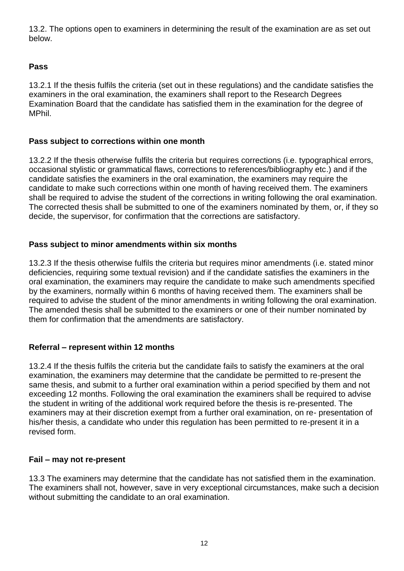13.2. The options open to examiners in determining the result of the examination are as set out below.

#### **Pass**

13.2.1 If the thesis fulfils the criteria (set out in these regulations) and the candidate satisfies the examiners in the oral examination, the examiners shall report to the Research Degrees Examination Board that the candidate has satisfied them in the examination for the degree of **MPhil** 

#### **Pass subject to corrections within one month**

13.2.2 If the thesis otherwise fulfils the criteria but requires corrections (i.e. typographical errors, occasional stylistic or grammatical flaws, corrections to references/bibliography etc.) and if the candidate satisfies the examiners in the oral examination, the examiners may require the candidate to make such corrections within one month of having received them. The examiners shall be required to advise the student of the corrections in writing following the oral examination. The corrected thesis shall be submitted to one of the examiners nominated by them, or, if they so decide, the supervisor, for confirmation that the corrections are satisfactory.

#### **Pass subject to minor amendments within six months**

13.2.3 If the thesis otherwise fulfils the criteria but requires minor amendments (i.e. stated minor deficiencies, requiring some textual revision) and if the candidate satisfies the examiners in the oral examination, the examiners may require the candidate to make such amendments specified by the examiners, normally within 6 months of having received them. The examiners shall be required to advise the student of the minor amendments in writing following the oral examination. The amended thesis shall be submitted to the examiners or one of their number nominated by them for confirmation that the amendments are satisfactory.

#### **Referral – represent within 12 months**

13.2.4 If the thesis fulfils the criteria but the candidate fails to satisfy the examiners at the oral examination, the examiners may determine that the candidate be permitted to re-present the same thesis, and submit to a further oral examination within a period specified by them and not exceeding 12 months. Following the oral examination the examiners shall be required to advise the student in writing of the additional work required before the thesis is re-presented. The examiners may at their discretion exempt from a further oral examination, on re- presentation of his/her thesis, a candidate who under this regulation has been permitted to re-present it in a revised form.

#### **Fail – may not re-present**

13.3 The examiners may determine that the candidate has not satisfied them in the examination. The examiners shall not, however, save in very exceptional circumstances, make such a decision without submitting the candidate to an oral examination.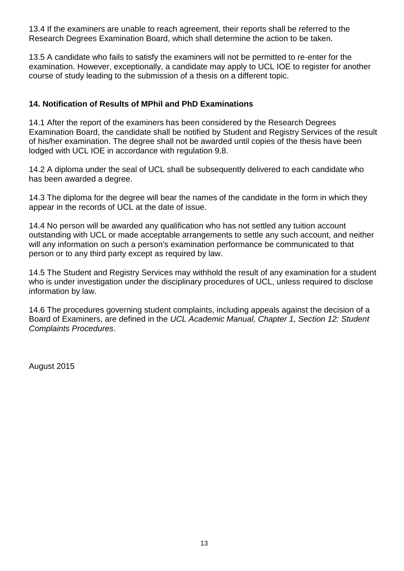13.4 If the examiners are unable to reach agreement, their reports shall be referred to the Research Degrees Examination Board, which shall determine the action to be taken.

13.5 A candidate who fails to satisfy the examiners will not be permitted to re-enter for the examination. However, exceptionally, a candidate may apply to UCL IOE to register for another course of study leading to the submission of a thesis on a different topic.

#### **14. Notification of Results of MPhil and PhD Examinations**

14.1 After the report of the examiners has been considered by the Research Degrees Examination Board, the candidate shall be notified by Student and Registry Services of the result of his/her examination. The degree shall not be awarded until copies of the thesis have been lodged with UCL IOE in accordance with regulation 9.8.

14.2 A diploma under the seal of UCL shall be subsequently delivered to each candidate who has been awarded a degree.

14.3 The diploma for the degree will bear the names of the candidate in the form in which they appear in the records of UCL at the date of issue.

14.4 No person will be awarded any qualification who has not settled any tuition account outstanding with UCL or made acceptable arrangements to settle any such account, and neither will any information on such a person's examination performance be communicated to that person or to any third party except as required by law.

14.5 The Student and Registry Services may withhold the result of any examination for a student who is under investigation under the disciplinary procedures of UCL, unless required to disclose information by law.

14.6 The procedures governing student complaints, including appeals against the decision of a Board of Examiners, are defined in the *UCL Academic Manual, Chapter 1, Section 12: Student Complaints Procedures*.

August 2015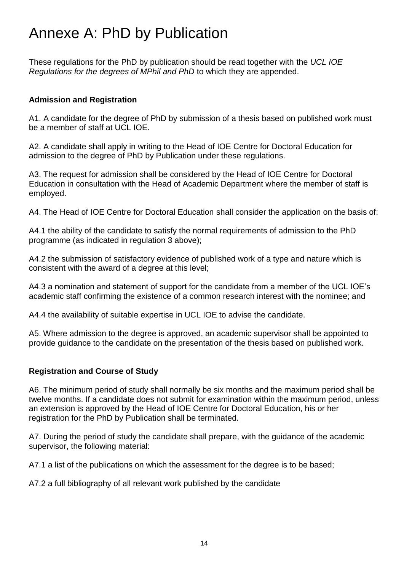## Annexe A: PhD by Publication

These regulations for the PhD by publication should be read together with the *UCL IOE Regulations for the degrees of MPhil and PhD* to which they are appended.

#### **Admission and Registration**

A1. A candidate for the degree of PhD by submission of a thesis based on published work must be a member of staff at UCL IOE.

A2. A candidate shall apply in writing to the Head of IOE Centre for Doctoral Education for admission to the degree of PhD by Publication under these regulations.

A3. The request for admission shall be considered by the Head of IOE Centre for Doctoral Education in consultation with the Head of Academic Department where the member of staff is employed.

A4. The Head of IOE Centre for Doctoral Education shall consider the application on the basis of:

A4.1 the ability of the candidate to satisfy the normal requirements of admission to the PhD programme (as indicated in regulation 3 above);

A4.2 the submission of satisfactory evidence of published work of a type and nature which is consistent with the award of a degree at this level;

A4.3 a nomination and statement of support for the candidate from a member of the UCL IOE's academic staff confirming the existence of a common research interest with the nominee; and

A4.4 the availability of suitable expertise in UCL IOE to advise the candidate.

A5. Where admission to the degree is approved, an academic supervisor shall be appointed to provide guidance to the candidate on the presentation of the thesis based on published work.

#### **Registration and Course of Study**

A6. The minimum period of study shall normally be six months and the maximum period shall be twelve months. If a candidate does not submit for examination within the maximum period, unless an extension is approved by the Head of IOE Centre for Doctoral Education, his or her registration for the PhD by Publication shall be terminated.

A7. During the period of study the candidate shall prepare, with the guidance of the academic supervisor, the following material:

A7.1 a list of the publications on which the assessment for the degree is to be based;

A7.2 a full bibliography of all relevant work published by the candidate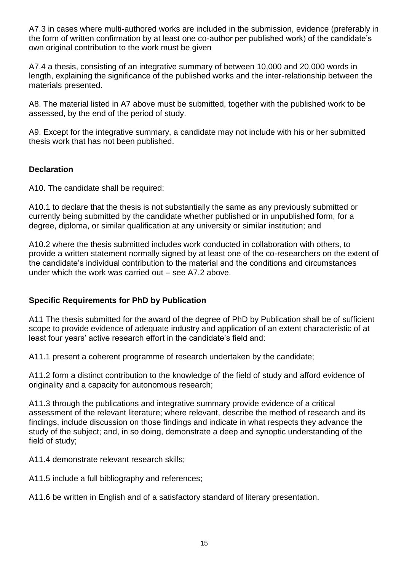A7.3 in cases where multi-authored works are included in the submission, evidence (preferably in the form of written confirmation by at least one co-author per published work) of the candidate's own original contribution to the work must be given

A7.4 a thesis, consisting of an integrative summary of between 10,000 and 20,000 words in length, explaining the significance of the published works and the inter-relationship between the materials presented.

A8. The material listed in A7 above must be submitted, together with the published work to be assessed, by the end of the period of study.

A9. Except for the integrative summary, a candidate may not include with his or her submitted thesis work that has not been published.

#### **Declaration**

A10. The candidate shall be required:

A10.1 to declare that the thesis is not substantially the same as any previously submitted or currently being submitted by the candidate whether published or in unpublished form, for a degree, diploma, or similar qualification at any university or similar institution; and

A10.2 where the thesis submitted includes work conducted in collaboration with others, to provide a written statement normally signed by at least one of the co-researchers on the extent of the candidate's individual contribution to the material and the conditions and circumstances under which the work was carried out – see A7.2 above.

#### **Specific Requirements for PhD by Publication**

A11 The thesis submitted for the award of the degree of PhD by Publication shall be of sufficient scope to provide evidence of adequate industry and application of an extent characteristic of at least four years' active research effort in the candidate's field and:

A11.1 present a coherent programme of research undertaken by the candidate;

A11.2 form a distinct contribution to the knowledge of the field of study and afford evidence of originality and a capacity for autonomous research;

A11.3 through the publications and integrative summary provide evidence of a critical assessment of the relevant literature; where relevant, describe the method of research and its findings, include discussion on those findings and indicate in what respects they advance the study of the subject; and, in so doing, demonstrate a deep and synoptic understanding of the field of study;

A11.4 demonstrate relevant research skills;

A11.5 include a full bibliography and references;

A11.6 be written in English and of a satisfactory standard of literary presentation.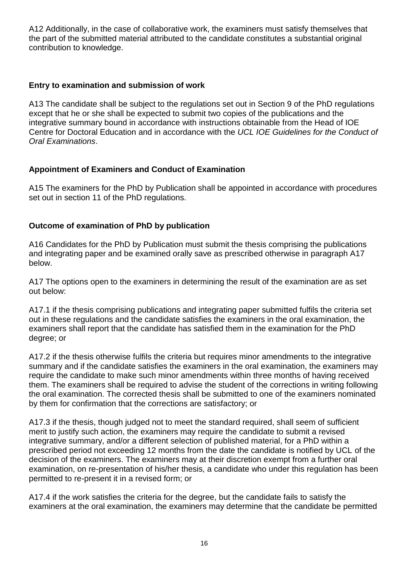A12 Additionally, in the case of collaborative work, the examiners must satisfy themselves that the part of the submitted material attributed to the candidate constitutes a substantial original contribution to knowledge.

#### **Entry to examination and submission of work**

A13 The candidate shall be subject to the regulations set out in Section 9 of the PhD regulations except that he or she shall be expected to submit two copies of the publications and the integrative summary bound in accordance with instructions obtainable from the Head of IOE Centre for Doctoral Education and in accordance with the *UCL IOE Guidelines for the Conduct of Oral Examinations*.

#### **Appointment of Examiners and Conduct of Examination**

A15 The examiners for the PhD by Publication shall be appointed in accordance with procedures set out in section 11 of the PhD regulations.

#### **Outcome of examination of PhD by publication**

A16 Candidates for the PhD by Publication must submit the thesis comprising the publications and integrating paper and be examined orally save as prescribed otherwise in paragraph A17 below.

A17 The options open to the examiners in determining the result of the examination are as set out below:

A17.1 if the thesis comprising publications and integrating paper submitted fulfils the criteria set out in these regulations and the candidate satisfies the examiners in the oral examination, the examiners shall report that the candidate has satisfied them in the examination for the PhD degree; or

A17.2 if the thesis otherwise fulfils the criteria but requires minor amendments to the integrative summary and if the candidate satisfies the examiners in the oral examination, the examiners may require the candidate to make such minor amendments within three months of having received them. The examiners shall be required to advise the student of the corrections in writing following the oral examination. The corrected thesis shall be submitted to one of the examiners nominated by them for confirmation that the corrections are satisfactory; or

A17.3 if the thesis, though judged not to meet the standard required, shall seem of sufficient merit to justify such action, the examiners may require the candidate to submit a revised integrative summary, and/or a different selection of published material, for a PhD within a prescribed period not exceeding 12 months from the date the candidate is notified by UCL of the decision of the examiners. The examiners may at their discretion exempt from a further oral examination, on re-presentation of his/her thesis, a candidate who under this regulation has been permitted to re-present it in a revised form; or

A17.4 if the work satisfies the criteria for the degree, but the candidate fails to satisfy the examiners at the oral examination, the examiners may determine that the candidate be permitted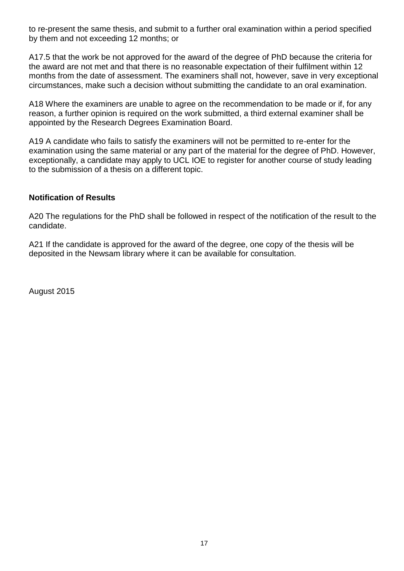to re-present the same thesis, and submit to a further oral examination within a period specified by them and not exceeding 12 months; or

A17.5 that the work be not approved for the award of the degree of PhD because the criteria for the award are not met and that there is no reasonable expectation of their fulfilment within 12 months from the date of assessment. The examiners shall not, however, save in very exceptional circumstances, make such a decision without submitting the candidate to an oral examination.

A18 Where the examiners are unable to agree on the recommendation to be made or if, for any reason, a further opinion is required on the work submitted, a third external examiner shall be appointed by the Research Degrees Examination Board.

A19 A candidate who fails to satisfy the examiners will not be permitted to re-enter for the examination using the same material or any part of the material for the degree of PhD. However, exceptionally, a candidate may apply to UCL IOE to register for another course of study leading to the submission of a thesis on a different topic.

#### **Notification of Results**

A20 The regulations for the PhD shall be followed in respect of the notification of the result to the candidate.

A21 If the candidate is approved for the award of the degree, one copy of the thesis will be deposited in the Newsam library where it can be available for consultation.

August 2015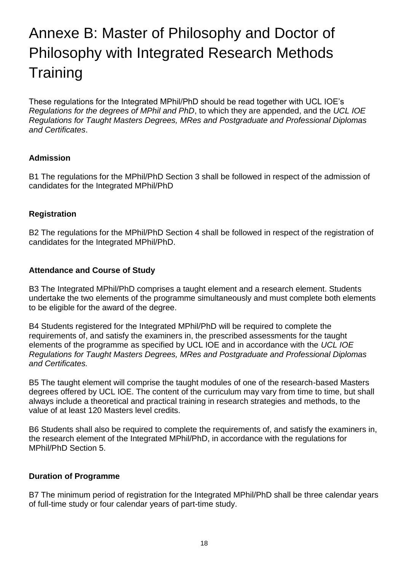## Annexe B: Master of Philosophy and Doctor of Philosophy with Integrated Research Methods **Training**

These regulations for the Integrated MPhil/PhD should be read together with UCL IOE's *Regulations for the degrees of MPhil and PhD*, to which they are appended, and the *UCL IOE Regulations for Taught Masters Degrees, MRes and Postgraduate and Professional Diplomas and Certificates*.

#### **Admission**

B1 The regulations for the MPhil/PhD Section 3 shall be followed in respect of the admission of candidates for the Integrated MPhil/PhD

#### **Registration**

B2 The regulations for the MPhil/PhD Section 4 shall be followed in respect of the registration of candidates for the Integrated MPhil/PhD.

#### **Attendance and Course of Study**

B3 The Integrated MPhil/PhD comprises a taught element and a research element. Students undertake the two elements of the programme simultaneously and must complete both elements to be eligible for the award of the degree.

B4 Students registered for the Integrated MPhil/PhD will be required to complete the requirements of, and satisfy the examiners in, the prescribed assessments for the taught elements of the programme as specified by UCL IOE and in accordance with the *UCL IOE Regulations for Taught Masters Degrees, MRes and Postgraduate and Professional Diplomas and Certificates.* 

B5 The taught element will comprise the taught modules of one of the research-based Masters degrees offered by UCL IOE. The content of the curriculum may vary from time to time, but shall always include a theoretical and practical training in research strategies and methods, to the value of at least 120 Masters level credits.

B6 Students shall also be required to complete the requirements of, and satisfy the examiners in, the research element of the Integrated MPhil/PhD, in accordance with the regulations for MPhil/PhD Section 5.

#### **Duration of Programme**

B7 The minimum period of registration for the Integrated MPhil/PhD shall be three calendar years of full-time study or four calendar years of part-time study.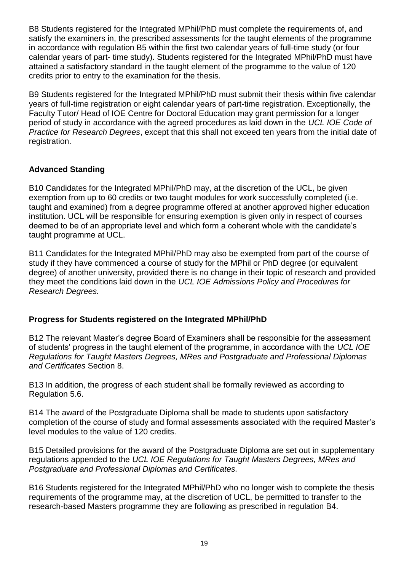B8 Students registered for the Integrated MPhil/PhD must complete the requirements of, and satisfy the examiners in, the prescribed assessments for the taught elements of the programme in accordance with regulation B5 within the first two calendar years of full-time study (or four calendar years of part- time study). Students registered for the Integrated MPhil/PhD must have attained a satisfactory standard in the taught element of the programme to the value of 120 credits prior to entry to the examination for the thesis.

B9 Students registered for the Integrated MPhil/PhD must submit their thesis within five calendar years of full-time registration or eight calendar years of part-time registration. Exceptionally, the Faculty Tutor/ Head of IOE Centre for Doctoral Education may grant permission for a longer period of study in accordance with the agreed procedures as laid down in the *UCL IOE Code of Practice for Research Degrees*, except that this shall not exceed ten years from the initial date of registration.

#### **Advanced Standing**

B10 Candidates for the Integrated MPhil/PhD may, at the discretion of the UCL, be given exemption from up to 60 credits or two taught modules for work successfully completed (i.e. taught and examined) from a degree programme offered at another approved higher education institution. UCL will be responsible for ensuring exemption is given only in respect of courses deemed to be of an appropriate level and which form a coherent whole with the candidate's taught programme at UCL.

B11 Candidates for the Integrated MPhil/PhD may also be exempted from part of the course of study if they have commenced a course of study for the MPhil or PhD degree (or equivalent degree) of another university, provided there is no change in their topic of research and provided they meet the conditions laid down in the *UCL IOE Admissions Policy and Procedures for Research Degrees.* 

#### **Progress for Students registered on the Integrated MPhil/PhD**

B12 The relevant Master's degree Board of Examiners shall be responsible for the assessment of students' progress in the taught element of the programme, in accordance with the *UCL IOE Regulations for Taught Masters Degrees, MRes and Postgraduate and Professional Diplomas and Certificates* Section 8.

B13 In addition, the progress of each student shall be formally reviewed as according to Regulation 5.6.

B14 The award of the Postgraduate Diploma shall be made to students upon satisfactory completion of the course of study and formal assessments associated with the required Master's level modules to the value of 120 credits.

B15 Detailed provisions for the award of the Postgraduate Diploma are set out in supplementary regulations appended to the *UCL IOE Regulations for Taught Masters Degrees, MRes and Postgraduate and Professional Diplomas and Certificates.* 

B16 Students registered for the Integrated MPhil/PhD who no longer wish to complete the thesis requirements of the programme may, at the discretion of UCL, be permitted to transfer to the research-based Masters programme they are following as prescribed in regulation B4.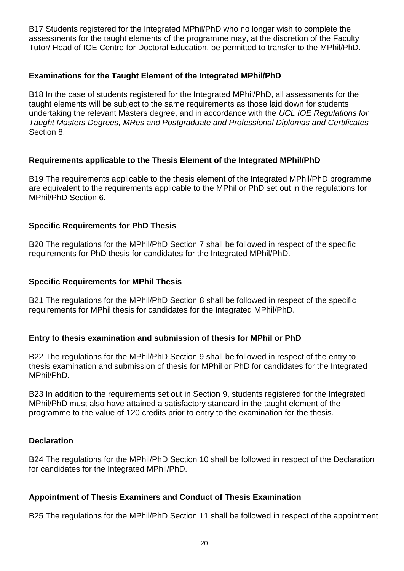B17 Students registered for the Integrated MPhil/PhD who no longer wish to complete the assessments for the taught elements of the programme may, at the discretion of the Faculty Tutor/ Head of IOE Centre for Doctoral Education, be permitted to transfer to the MPhil/PhD.

#### **Examinations for the Taught Element of the Integrated MPhil/PhD**

B18 In the case of students registered for the Integrated MPhil/PhD, all assessments for the taught elements will be subject to the same requirements as those laid down for students undertaking the relevant Masters degree, and in accordance with the *UCL IOE Regulations for Taught Masters Degrees, MRes and Postgraduate and Professional Diplomas and Certificates* Section 8.

#### **Requirements applicable to the Thesis Element of the Integrated MPhil/PhD**

B19 The requirements applicable to the thesis element of the Integrated MPhil/PhD programme are equivalent to the requirements applicable to the MPhil or PhD set out in the regulations for MPhil/PhD Section 6.

#### **Specific Requirements for PhD Thesis**

B20 The regulations for the MPhil/PhD Section 7 shall be followed in respect of the specific requirements for PhD thesis for candidates for the Integrated MPhil/PhD.

#### **Specific Requirements for MPhil Thesis**

B21 The regulations for the MPhil/PhD Section 8 shall be followed in respect of the specific requirements for MPhil thesis for candidates for the Integrated MPhil/PhD.

#### **Entry to thesis examination and submission of thesis for MPhil or PhD**

B22 The regulations for the MPhil/PhD Section 9 shall be followed in respect of the entry to thesis examination and submission of thesis for MPhil or PhD for candidates for the Integrated MPhil/PhD.

B23 In addition to the requirements set out in Section 9, students registered for the Integrated MPhil/PhD must also have attained a satisfactory standard in the taught element of the programme to the value of 120 credits prior to entry to the examination for the thesis.

#### **Declaration**

B24 The regulations for the MPhil/PhD Section 10 shall be followed in respect of the Declaration for candidates for the Integrated MPhil/PhD.

#### **Appointment of Thesis Examiners and Conduct of Thesis Examination**

B25 The regulations for the MPhil/PhD Section 11 shall be followed in respect of the appointment